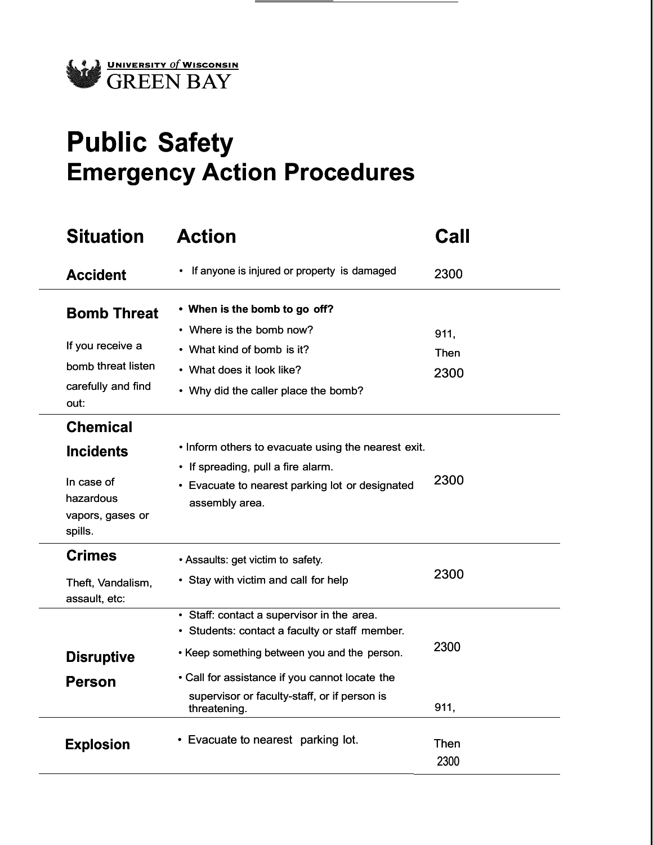

## **Public Safety Emergency Action Procedures**

| <b>Situation</b>                                                                              | <b>Action</b>                                                                                                                                                                                                                                                  | Call                 |
|-----------------------------------------------------------------------------------------------|----------------------------------------------------------------------------------------------------------------------------------------------------------------------------------------------------------------------------------------------------------------|----------------------|
| <b>Accident</b>                                                                               | • If anyone is injured or property is damaged                                                                                                                                                                                                                  | 2300                 |
| <b>Bomb Threat</b><br>If you receive a<br>bomb threat listen<br>carefully and find<br>out:    | • When is the bomb to go off?<br>• Where is the bomb now?<br>• What kind of bomb is it?<br>• What does it look like?<br>• Why did the caller place the bomb?                                                                                                   | 911,<br>Then<br>2300 |
| <b>Chemical</b><br><b>Incidents</b><br>In case of<br>hazardous<br>vapors, gases or<br>spills. | • Inform others to evacuate using the nearest exit.<br>• If spreading, pull a fire alarm.<br>• Evacuate to nearest parking lot or designated<br>assembly area.                                                                                                 | 2300                 |
| <b>Crimes</b><br>Theft, Vandalism,<br>assault, etc:                                           | • Assaults: get victim to safety.<br>• Stay with victim and call for help                                                                                                                                                                                      | 2300                 |
| <b>Disruptive</b><br><b>Person</b>                                                            | • Staff: contact a supervisor in the area.<br>• Students: contact a faculty or staff member.<br>• Keep something between you and the person.<br>• Call for assistance if you cannot locate the<br>supervisor or faculty-staff, or if person is<br>threatening. | 2300<br>911,         |
| <b>Explosion</b>                                                                              | • Evacuate to nearest parking lot.                                                                                                                                                                                                                             | Then<br>2300         |